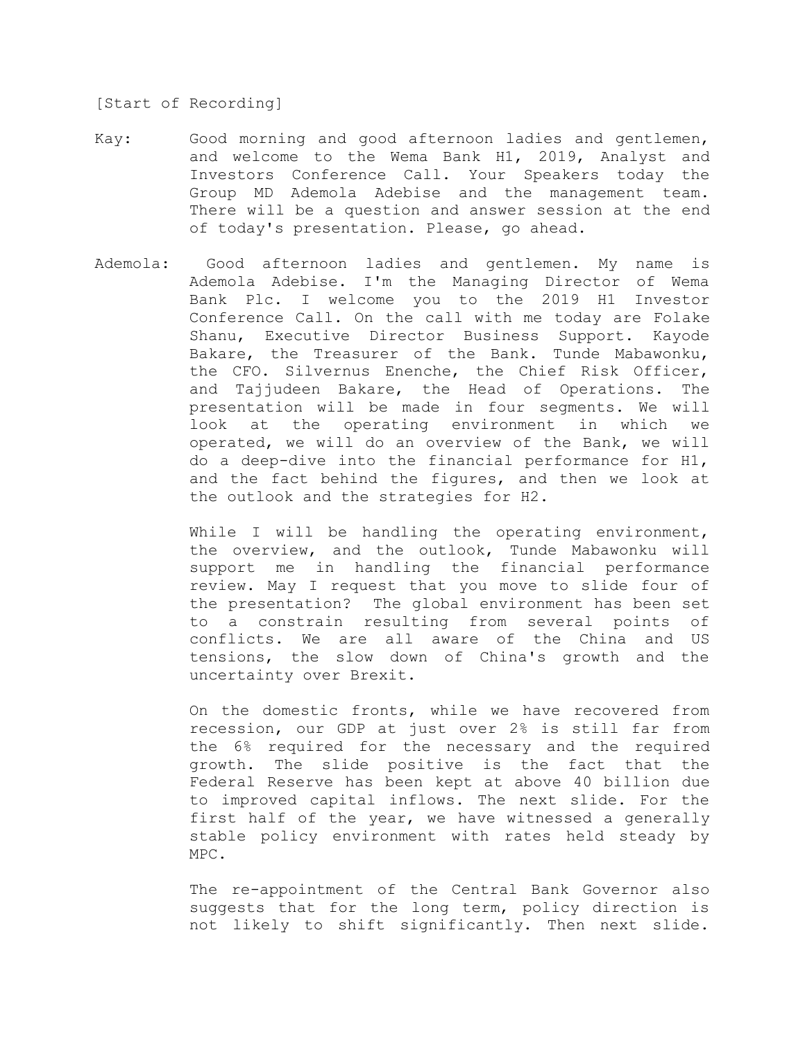## [Start of Recording]

- Kay: Good morning and good afternoon ladies and gentlemen, and welcome to the Wema Bank H1, 2019, Analyst and Investors Conference Call. Your Speakers today the Group MD Ademola Adebise and the management team. There will be a question and answer session at the end of today's presentation. Please, go ahead.
- Ademola: Good afternoon ladies and gentlemen. My name is Ademola Adebise. I'm the Managing Director of Wema Bank Plc. I welcome you to the 2019 H1 Investor Conference Call. On the call with me today are Folake Shanu, Executive Director Business Support. Kayode Bakare, the Treasurer of the Bank. Tunde Mabawonku, the CFO. Silvernus Enenche, the Chief Risk Officer, and Tajjudeen Bakare, the Head of Operations. The presentation will be made in four segments. We will look at the operating environment in which we operated, we will do an overview of the Bank, we will do a deep-dive into the financial performance for H1, and the fact behind the figures, and then we look at the outlook and the strategies for H2.

While I will be handling the operating environment, the overview, and the outlook, Tunde Mabawonku will support me in handling the financial performance review. May I request that you move to slide four of the presentation? The global environment has been set to a constrain resulting from several points of conflicts. We are all aware of the China and US tensions, the slow down of China's growth and the uncertainty over Brexit.

On the domestic fronts, while we have recovered from recession, our GDP at just over 2% is still far from the 6% required for the necessary and the required growth. The slide positive is the fact that the Federal Reserve has been kept at above 40 billion due to improved capital inflows. The next slide. For the first half of the year, we have witnessed a generally stable policy environment with rates held steady by MPC.

The re-appointment of the Central Bank Governor also suggests that for the long term, policy direction is not likely to shift significantly. Then next slide.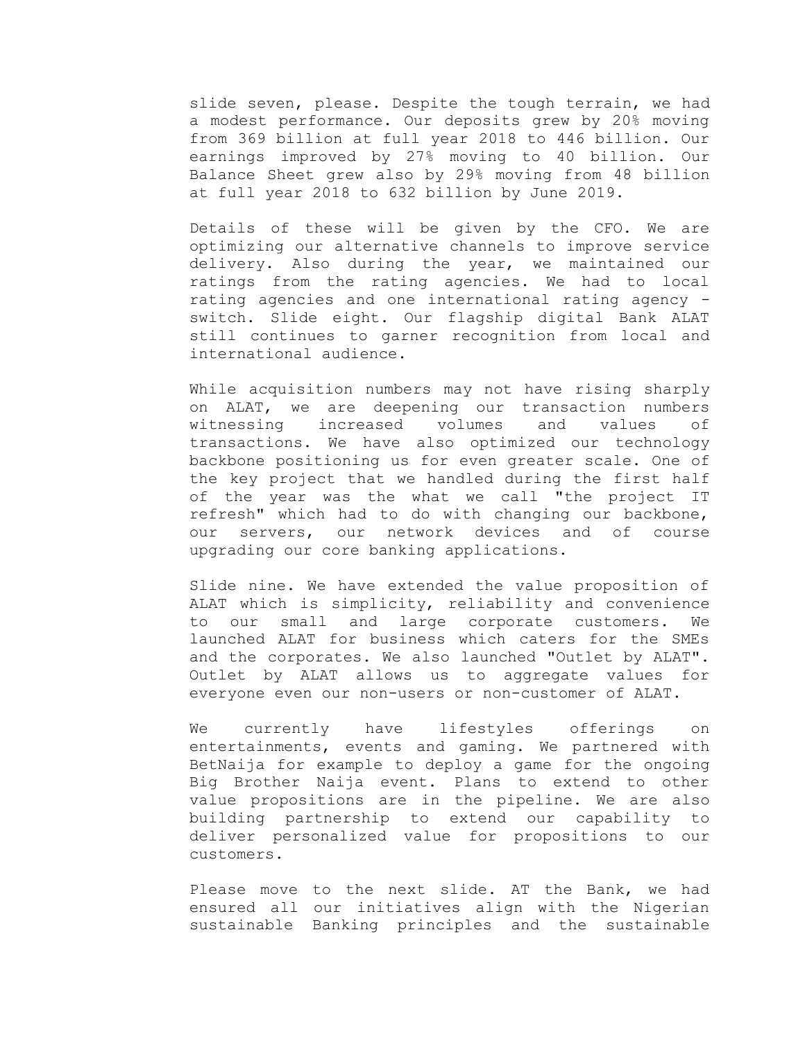slide seven, please. Despite the tough terrain, we had a modest performance. Our deposits grew by 20% moving from 369 billion at full year 2018 to 446 billion. Our earnings improved by 27% moving to 40 billion. Our Balance Sheet grew also by 29% moving from 48 billion at full year 2018 to 632 billion by June 2019.

Details of these will be given by the CFO. We are optimizing our alternative channels to improve service delivery. Also during the year, we maintained our ratings from the rating agencies. We had to local rating agencies and one international rating agency switch. Slide eight. Our flagship digital Bank ALAT still continues to garner recognition from local and international audience.

While acquisition numbers may not have rising sharply on ALAT, we are deepening our transaction numbers witnessing increased volumes and values of transactions. We have also optimized our technology backbone positioning us for even greater scale. One of the key project that we handled during the first half of the year was the what we call "the project IT refresh" which had to do with changing our backbone, our servers, our network devices and of course upgrading our core banking applications.

Slide nine. We have extended the value proposition of ALAT which is simplicity, reliability and convenience to our small and large corporate customers. We launched ALAT for business which caters for the SMEs and the corporates. We also launched "Outlet by ALAT". Outlet by ALAT allows us to aggregate values for everyone even our non-users or non-customer of ALAT.

We currently have lifestyles offerings on entertainments, events and gaming. We partnered with BetNaija for example to deploy a game for the ongoing Big Brother Naija event. Plans to extend to other value propositions are in the pipeline. We are also building partnership to extend our capability to deliver personalized value for propositions to our customers.

Please move to the next slide. AT the Bank, we had ensured all our initiatives align with the Nigerian sustainable Banking principles and the sustainable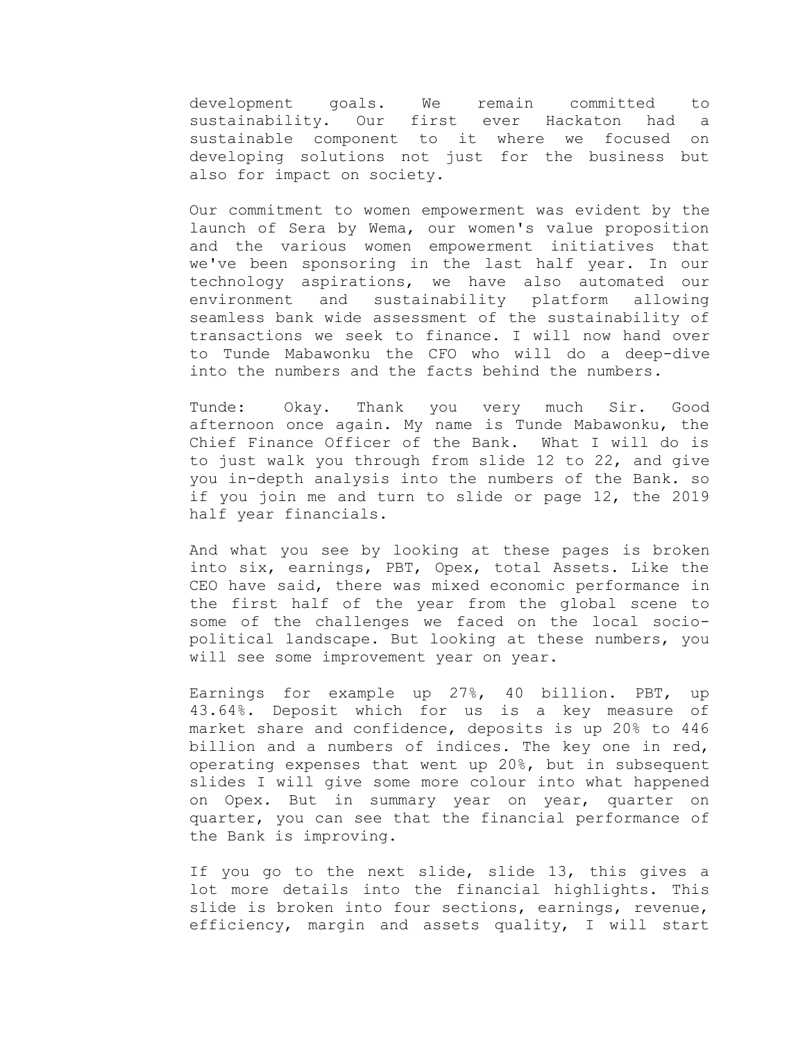development goals. We remain committed to sustainability. Our first ever Hackaton had a sustainable component to it where we focused on developing solutions not just for the business but also for impact on society.

Our commitment to women empowerment was evident by the launch of Sera by Wema, our women's value proposition and the various women empowerment initiatives that we've been sponsoring in the last half year. In our technology aspirations, we have also automated our environment and sustainability platform allowing seamless bank wide assessment of the sustainability of transactions we seek to finance. I will now hand over to Tunde Mabawonku the CFO who will do a deep-dive into the numbers and the facts behind the numbers.

Tunde: Okay. Thank you very much Sir. Good afternoon once again. My name is Tunde Mabawonku, the Chief Finance Officer of the Bank. What I will do is to just walk you through from slide 12 to 22, and give you in-depth analysis into the numbers of the Bank. so if you join me and turn to slide or page 12, the 2019 half year financials.

And what you see by looking at these pages is broken into six, earnings, PBT, Opex, total Assets. Like the CEO have said, there was mixed economic performance in the first half of the year from the global scene to some of the challenges we faced on the local sociopolitical landscape. But looking at these numbers, you will see some improvement year on year.

Earnings for example up 27%, 40 billion. PBT, up 43.64%. Deposit which for us is a key measure of market share and confidence, deposits is up 20% to 446 billion and a numbers of indices. The key one in red, operating expenses that went up 20%, but in subsequent slides I will give some more colour into what happened on Opex. But in summary year on year, quarter on quarter, you can see that the financial performance of the Bank is improving.

If you go to the next slide, slide 13, this gives a lot more details into the financial highlights. This slide is broken into four sections, earnings, revenue, efficiency, margin and assets quality, I will start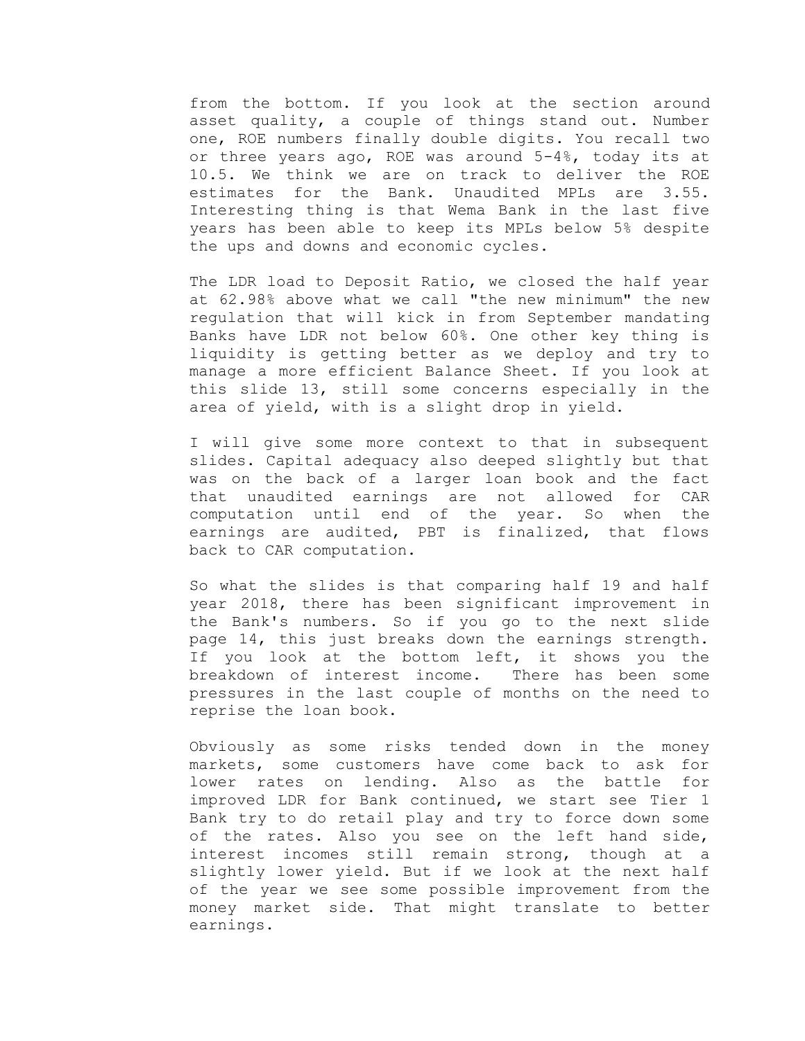from the bottom. If you look at the section around asset quality, a couple of things stand out. Number one, ROE numbers finally double digits. You recall two or three years ago, ROE was around 5-4%, today its at 10.5. We think we are on track to deliver the ROE estimates for the Bank. Unaudited MPLs are 3.55. Interesting thing is that Wema Bank in the last five years has been able to keep its MPLs below 5% despite the ups and downs and economic cycles.

The LDR load to Deposit Ratio, we closed the half year at 62.98% above what we call "the new minimum" the new regulation that will kick in from September mandating Banks have LDR not below 60%. One other key thing is liquidity is getting better as we deploy and try to manage a more efficient Balance Sheet. If you look at this slide 13, still some concerns especially in the area of yield, with is a slight drop in yield.

I will give some more context to that in subsequent slides. Capital adequacy also deeped slightly but that was on the back of a larger loan book and the fact that unaudited earnings are not allowed for CAR computation until end of the year. So when the earnings are audited, PBT is finalized, that flows back to CAR computation.

So what the slides is that comparing half 19 and half year 2018, there has been significant improvement in the Bank's numbers. So if you go to the next slide page 14, this just breaks down the earnings strength. If you look at the bottom left, it shows you the breakdown of interest income. There has been some pressures in the last couple of months on the need to reprise the loan book.

Obviously as some risks tended down in the money markets, some customers have come back to ask for lower rates on lending. Also as the battle for improved LDR for Bank continued, we start see Tier 1 Bank try to do retail play and try to force down some of the rates. Also you see on the left hand side, interest incomes still remain strong, though at a slightly lower yield. But if we look at the next half of the year we see some possible improvement from the money market side. That might translate to better earnings.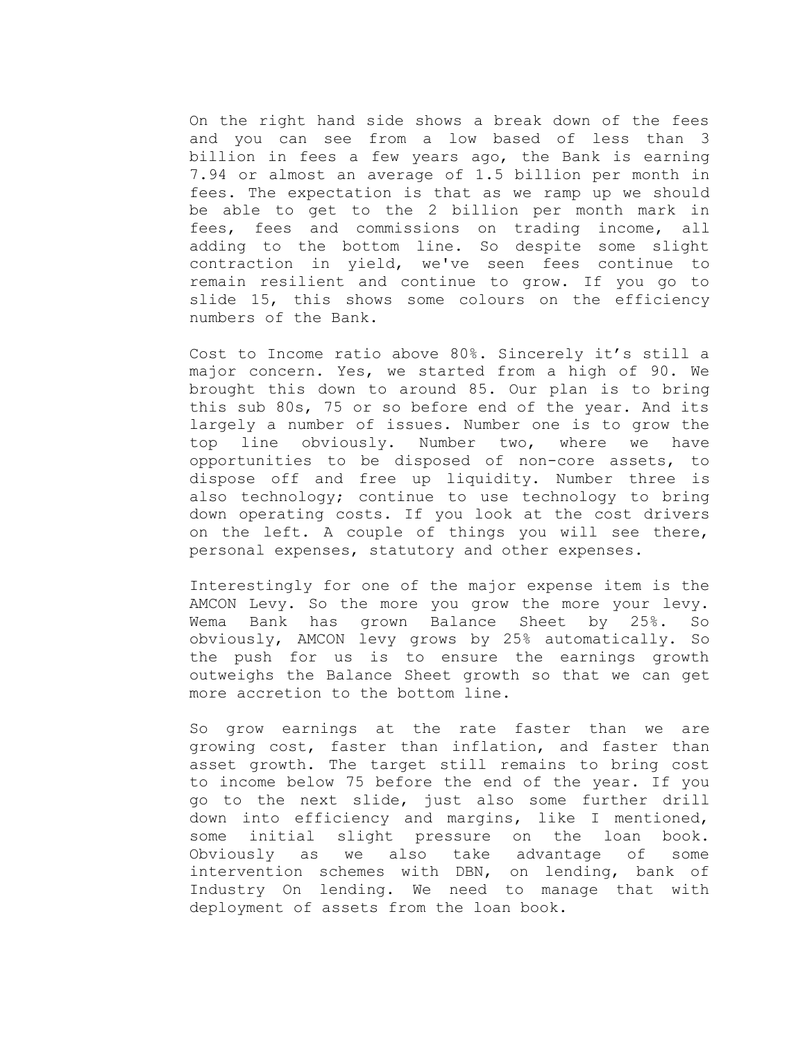On the right hand side shows a break down of the fees and you can see from a low based of less than 3 billion in fees a few years ago, the Bank is earning 7.94 or almost an average of 1.5 billion per month in fees. The expectation is that as we ramp up we should be able to get to the 2 billion per month mark in fees, fees and commissions on trading income, all adding to the bottom line. So despite some slight contraction in yield, we've seen fees continue to remain resilient and continue to grow. If you go to slide 15, this shows some colours on the efficiency numbers of the Bank.

Cost to Income ratio above 80%. Sincerely it's still a major concern. Yes, we started from a high of 90. We brought this down to around 85. Our plan is to bring this sub 80s, 75 or so before end of the year. And its largely a number of issues. Number one is to grow the top line obviously. Number two, where we have opportunities to be disposed of non-core assets, to dispose off and free up liquidity. Number three is also technology; continue to use technology to bring down operating costs. If you look at the cost drivers on the left. A couple of things you will see there, personal expenses, statutory and other expenses.

Interestingly for one of the major expense item is the AMCON Levy. So the more you grow the more your levy. Wema Bank has grown Balance Sheet by 25%. So obviously, AMCON levy grows by 25% automatically. So the push for us is to ensure the earnings growth outweighs the Balance Sheet growth so that we can get more accretion to the bottom line.

So grow earnings at the rate faster than we are growing cost, faster than inflation, and faster than asset growth. The target still remains to bring cost to income below 75 before the end of the year. If you go to the next slide, just also some further drill down into efficiency and margins, like I mentioned, some initial slight pressure on the loan book. Obviously as we also take advantage of some intervention schemes with DBN, on lending, bank of Industry On lending. We need to manage that with deployment of assets from the loan book.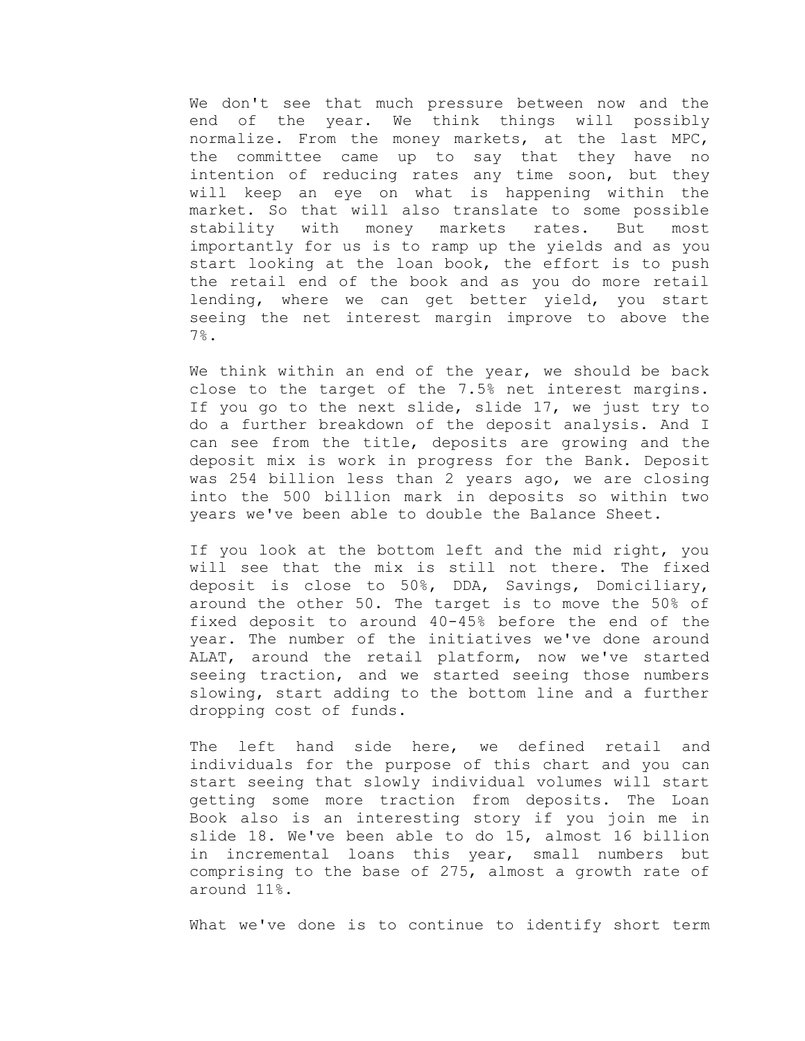We don't see that much pressure between now and the end of the year. We think things will possibly normalize. From the money markets, at the last MPC, the committee came up to say that they have no intention of reducing rates any time soon, but they will keep an eye on what is happening within the market. So that will also translate to some possible stability with money markets rates. But most importantly for us is to ramp up the yields and as you start looking at the loan book, the effort is to push the retail end of the book and as you do more retail lending, where we can get better yield, you start seeing the net interest margin improve to above the 7%.

We think within an end of the year, we should be back close to the target of the 7.5% net interest margins. If you go to the next slide, slide 17, we just try to do a further breakdown of the deposit analysis. And I can see from the title, deposits are growing and the deposit mix is work in progress for the Bank. Deposit was 254 billion less than 2 years ago, we are closing into the 500 billion mark in deposits so within two years we've been able to double the Balance Sheet.

If you look at the bottom left and the mid right, you will see that the mix is still not there. The fixed deposit is close to 50%, DDA, Savings, Domiciliary, around the other 50. The target is to move the 50% of fixed deposit to around 40-45% before the end of the year. The number of the initiatives we've done around ALAT, around the retail platform, now we've started seeing traction, and we started seeing those numbers slowing, start adding to the bottom line and a further dropping cost of funds.

The left hand side here, we defined retail and individuals for the purpose of this chart and you can start seeing that slowly individual volumes will start getting some more traction from deposits. The Loan Book also is an interesting story if you join me in slide 18. We've been able to do 15, almost 16 billion in incremental loans this year, small numbers but comprising to the base of 275, almost a growth rate of around 11%.

What we've done is to continue to identify short term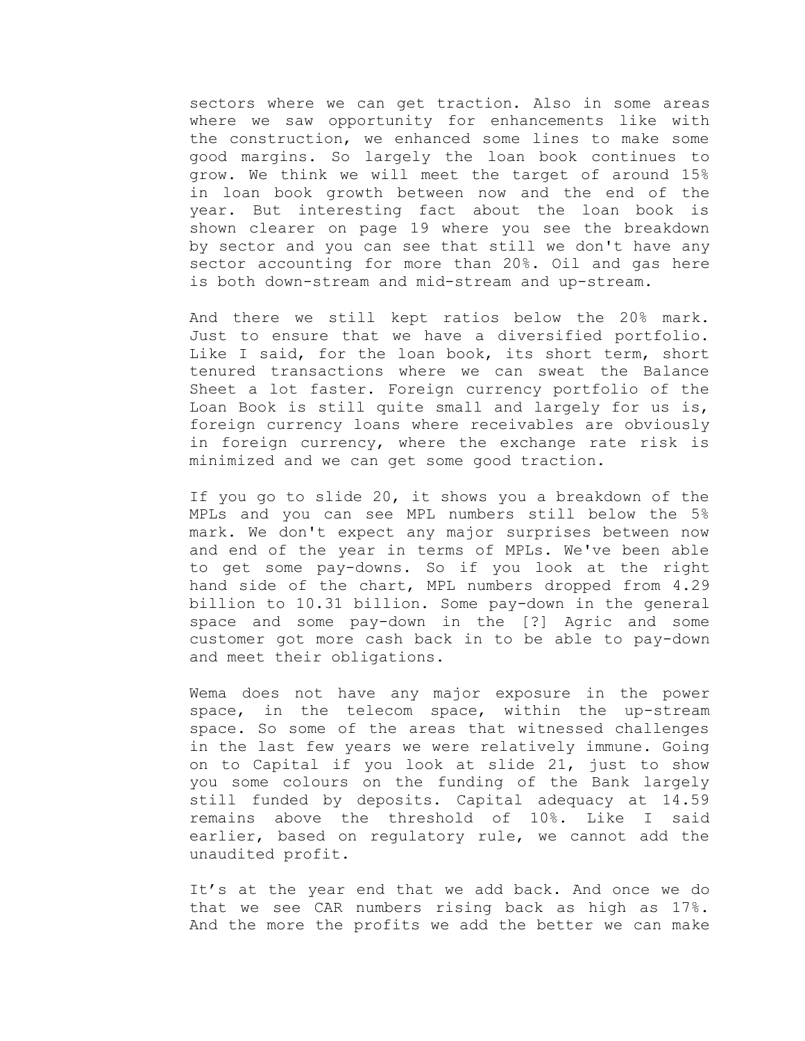sectors where we can get traction. Also in some areas where we saw opportunity for enhancements like with the construction, we enhanced some lines to make some good margins. So largely the loan book continues to grow. We think we will meet the target of around 15% in loan book growth between now and the end of the year. But interesting fact about the loan book is shown clearer on page 19 where you see the breakdown by sector and you can see that still we don't have any sector accounting for more than 20%. Oil and gas here is both down-stream and mid-stream and up-stream.

And there we still kept ratios below the 20% mark. Just to ensure that we have a diversified portfolio. Like I said, for the loan book, its short term, short tenured transactions where we can sweat the Balance Sheet a lot faster. Foreign currency portfolio of the Loan Book is still quite small and largely for us is, foreign currency loans where receivables are obviously in foreign currency, where the exchange rate risk is minimized and we can get some good traction.

If you go to slide 20, it shows you a breakdown of the MPLs and you can see MPL numbers still below the 5% mark. We don't expect any major surprises between now and end of the year in terms of MPLs. We've been able to get some pay-downs. So if you look at the right hand side of the chart, MPL numbers dropped from 4.29 billion to 10.31 billion. Some pay-down in the general space and some pay-down in the [?] Agric and some customer got more cash back in to be able to pay-down and meet their obligations.

Wema does not have any major exposure in the power space, in the telecom space, within the up-stream space. So some of the areas that witnessed challenges in the last few years we were relatively immune. Going on to Capital if you look at slide 21, just to show you some colours on the funding of the Bank largely still funded by deposits. Capital adequacy at 14.59 remains above the threshold of 10%. Like I said earlier, based on regulatory rule, we cannot add the unaudited profit.

It's at the year end that we add back. And once we do that we see CAR numbers rising back as high as 17%. And the more the profits we add the better we can make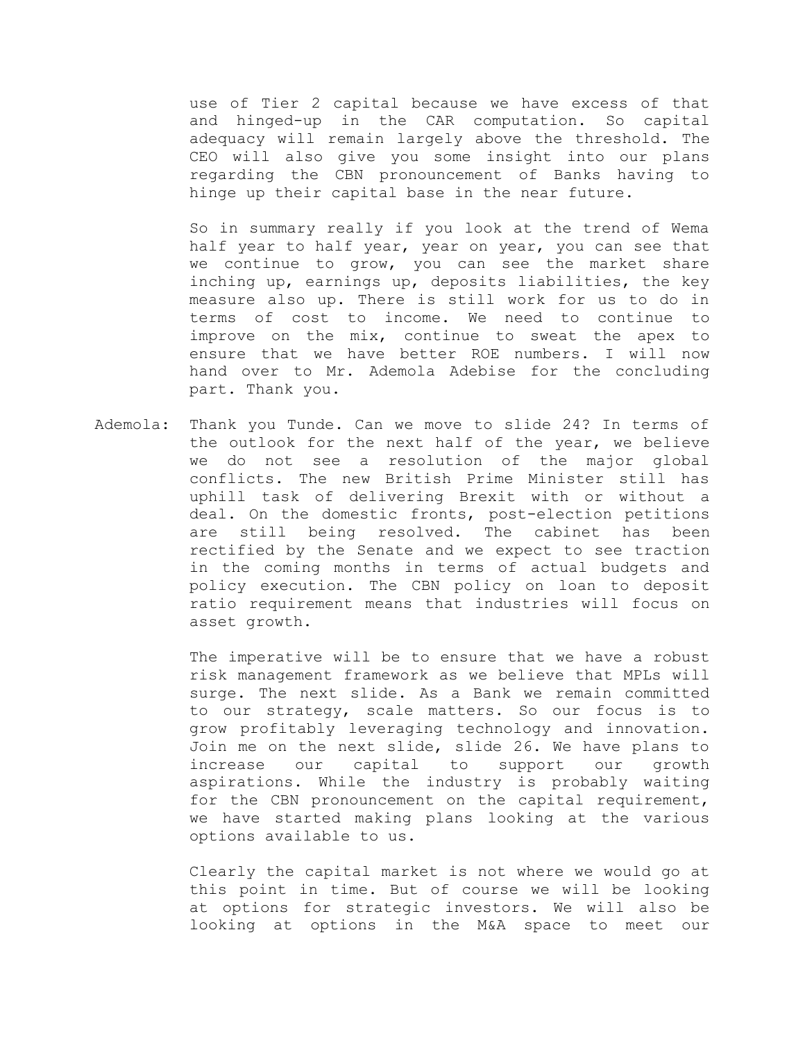use of Tier 2 capital because we have excess of that and hinged-up in the CAR computation. So capital adequacy will remain largely above the threshold. The CEO will also give you some insight into our plans regarding the CBN pronouncement of Banks having to hinge up their capital base in the near future.

So in summary really if you look at the trend of Wema half year to half year, year on year, you can see that we continue to grow, you can see the market share inching up, earnings up, deposits liabilities, the key measure also up. There is still work for us to do in terms of cost to income. We need to continue to improve on the mix, continue to sweat the apex to ensure that we have better ROE numbers. I will now hand over to Mr. Ademola Adebise for the concluding part. Thank you.

Ademola: Thank you Tunde. Can we move to slide 24? In terms of the outlook for the next half of the year, we believe we do not see a resolution of the major global conflicts. The new British Prime Minister still has uphill task of delivering Brexit with or without a deal. On the domestic fronts, post-election petitions are still being resolved. The cabinet has been rectified by the Senate and we expect to see traction in the coming months in terms of actual budgets and policy execution. The CBN policy on loan to deposit ratio requirement means that industries will focus on asset growth.

> The imperative will be to ensure that we have a robust risk management framework as we believe that MPLs will surge. The next slide. As a Bank we remain committed to our strategy, scale matters. So our focus is to grow profitably leveraging technology and innovation. Join me on the next slide, slide 26. We have plans to increase our capital to support our growth aspirations. While the industry is probably waiting for the CBN pronouncement on the capital requirement, we have started making plans looking at the various options available to us.

> Clearly the capital market is not where we would go at this point in time. But of course we will be looking at options for strategic investors. We will also be looking at options in the M&A space to meet our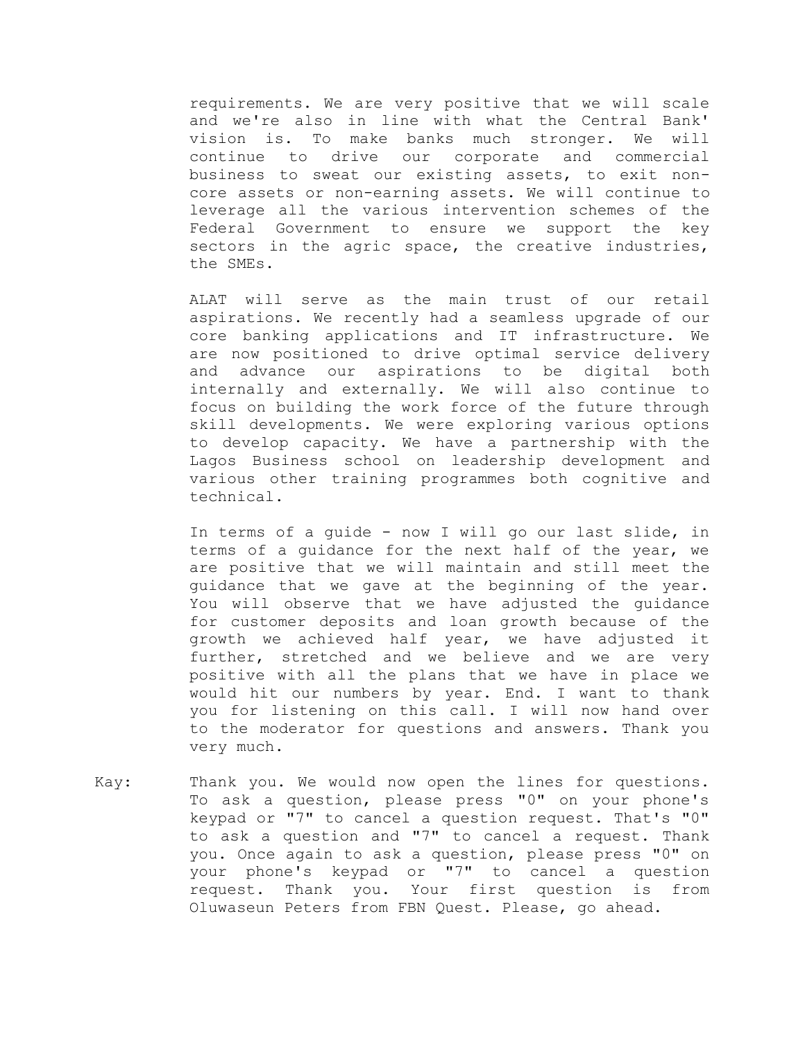requirements. We are very positive that we will scale and we're also in line with what the Central Bank' vision is. To make banks much stronger. We will continue to drive our corporate and commercial business to sweat our existing assets, to exit noncore assets or non-earning assets. We will continue to leverage all the various intervention schemes of the Federal Government to ensure we support the key sectors in the agric space, the creative industries, the SMEs.

ALAT will serve as the main trust of our retail aspirations. We recently had a seamless upgrade of our core banking applications and IT infrastructure. We are now positioned to drive optimal service delivery and advance our aspirations to be digital both internally and externally. We will also continue to focus on building the work force of the future through skill developments. We were exploring various options to develop capacity. We have a partnership with the Lagos Business school on leadership development and various other training programmes both cognitive and technical.

In terms of a guide - now I will go our last slide, in terms of a guidance for the next half of the year, we are positive that we will maintain and still meet the guidance that we gave at the beginning of the year. You will observe that we have adjusted the guidance for customer deposits and loan growth because of the growth we achieved half year, we have adjusted it further, stretched and we believe and we are very positive with all the plans that we have in place we would hit our numbers by year. End. I want to thank you for listening on this call. I will now hand over to the moderator for questions and answers. Thank you very much.

Kay: Thank you. We would now open the lines for questions. To ask a question, please press "0" on your phone's keypad or "7" to cancel a question request. That's "0" to ask a question and "7" to cancel a request. Thank you. Once again to ask a question, please press "0" on your phone's keypad or "7" to cancel a question request. Thank you. Your first question is from Oluwaseun Peters from FBN Quest. Please, go ahead.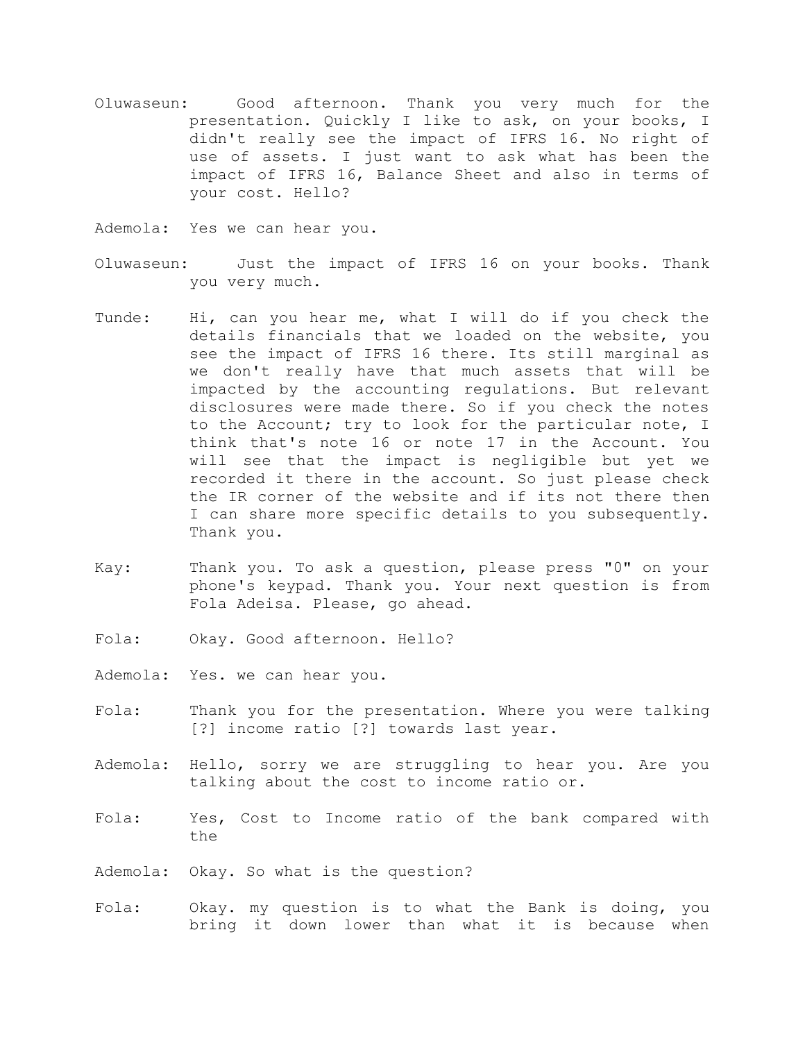Oluwaseun: Good afternoon. Thank you very much for the presentation. Quickly I like to ask, on your books, I didn't really see the impact of IFRS 16. No right of use of assets. I just want to ask what has been the impact of IFRS 16, Balance Sheet and also in terms of your cost. Hello?

Ademola: Yes we can hear you.

- Oluwaseun: Just the impact of IFRS 16 on your books. Thank you very much.
- Tunde: Hi, can you hear me, what I will do if you check the details financials that we loaded on the website, you see the impact of IFRS 16 there. Its still marginal as we don't really have that much assets that will be impacted by the accounting regulations. But relevant disclosures were made there. So if you check the notes to the Account; try to look for the particular note, I think that's note 16 or note 17 in the Account. You will see that the impact is negligible but yet we recorded it there in the account. So just please check the IR corner of the website and if its not there then I can share more specific details to you subsequently. Thank you.
- Kay: Thank you. To ask a question, please press "0" on your phone's keypad. Thank you. Your next question is from Fola Adeisa. Please, go ahead.
- Fola: Okay. Good afternoon. Hello?
- Ademola: Yes. we can hear you.
- Fola: Thank you for the presentation. Where you were talking [?] income ratio [?] towards last year.
- Ademola: Hello, sorry we are struggling to hear you. Are you talking about the cost to income ratio or.
- Fola: Yes, Cost to Income ratio of the bank compared with the
- Ademola: Okay. So what is the question?
- Fola: Okay. my question is to what the Bank is doing, you bring it down lower than what it is because when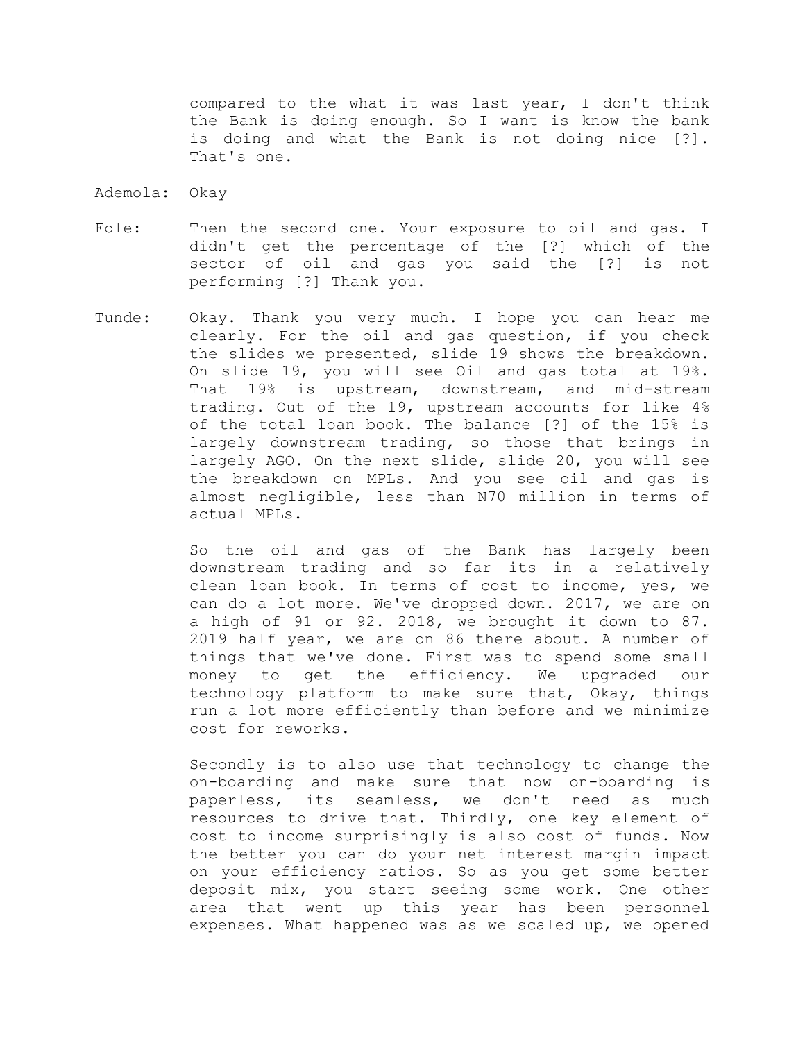compared to the what it was last year, I don't think the Bank is doing enough. So I want is know the bank is doing and what the Bank is not doing nice [?]. That's one.

- Ademola: Okay
- Fole: Then the second one. Your exposure to oil and gas. I didn't get the percentage of the [?] which of the sector of oil and gas you said the [?] is not performing [?] Thank you.
- Tunde: Okay. Thank you very much. I hope you can hear me clearly. For the oil and gas question, if you check the slides we presented, slide 19 shows the breakdown. On slide 19, you will see Oil and gas total at 19%. That 19% is upstream, downstream, and mid-stream trading. Out of the 19, upstream accounts for like 4% of the total loan book. The balance [?] of the 15% is largely downstream trading, so those that brings in largely AGO. On the next slide, slide 20, you will see the breakdown on MPLs. And you see oil and gas is almost negligible, less than N70 million in terms of actual MPLs.

So the oil and gas of the Bank has largely been downstream trading and so far its in a relatively clean loan book. In terms of cost to income, yes, we can do a lot more. We've dropped down. 2017, we are on a high of 91 or 92. 2018, we brought it down to 87. 2019 half year, we are on 86 there about. A number of things that we've done. First was to spend some small money to get the efficiency. We upgraded our technology platform to make sure that, Okay, things run a lot more efficiently than before and we minimize cost for reworks.

Secondly is to also use that technology to change the on-boarding and make sure that now on-boarding is paperless, its seamless, we don't need as much resources to drive that. Thirdly, one key element of cost to income surprisingly is also cost of funds. Now the better you can do your net interest margin impact on your efficiency ratios. So as you get some better deposit mix, you start seeing some work. One other area that went up this year has been personnel expenses. What happened was as we scaled up, we opened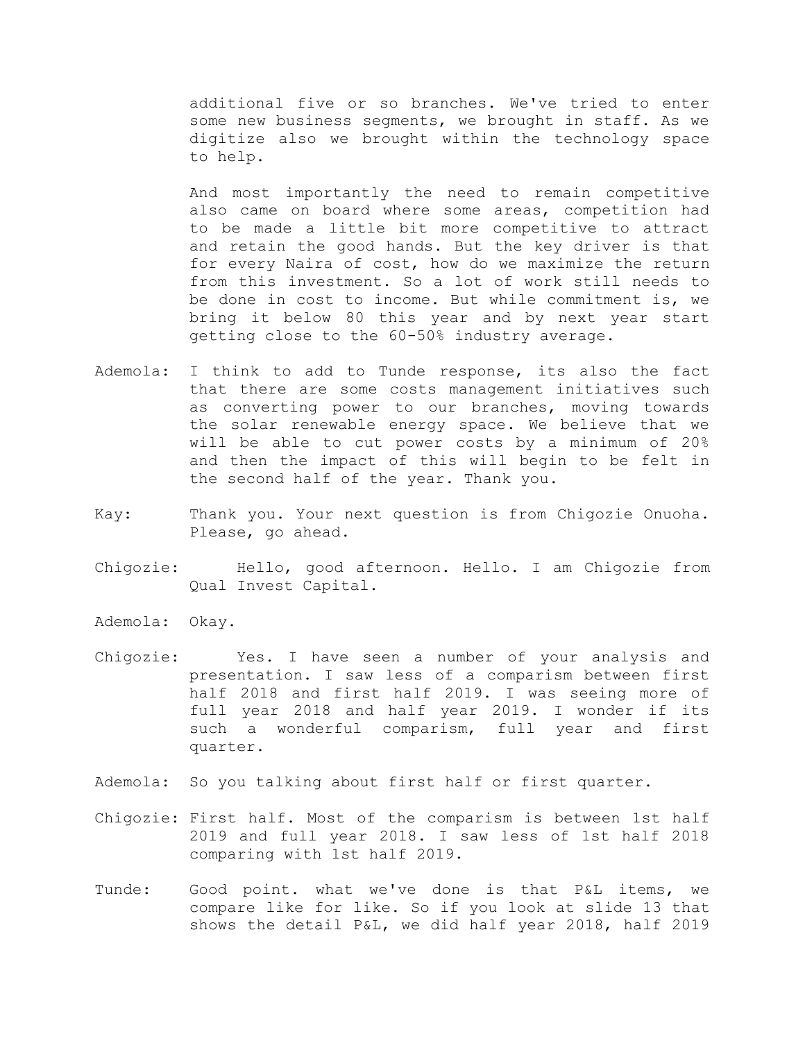additional five or so branches. We've tried to enter some new business segments, we brought in staff. As we digitize also we brought within the technology space to help.

And most importantly the need to remain competitive also came on board where some areas, competition had to be made a little bit more competitive to attract and retain the good hands. But the key driver is that for every Naira of cost, how do we maximize the return from this investment. So a lot of work still needs to be done in cost to income. But while commitment is, we bring it below 80 this year and by next year start getting close to the 60-50% industry average.

- Ademola: I think to add to Tunde response, its also the fact that there are some costs management initiatives such as converting power to our branches, moving towards the solar renewable energy space. We believe that we will be able to cut power costs by a minimum of 20% and then the impact of this will begin to be felt in the second half of the year. Thank you.
- Kay: Thank you. Your next question is from Chigozie Onuoha. Please, go ahead.
- Chigozie: Hello, good afternoon. Hello. I am Chigozie from Qual Invest Capital.
- Ademola: Okay.
- Chigozie: Yes. I have seen a number of your analysis and presentation. I saw less of a comparism between first half 2018 and first half 2019. I was seeing more of full year 2018 and half year 2019. I wonder if its such a wonderful comparism, full year and first quarter.
- Ademola: So you talking about first half or first quarter.
- Chigozie: First half. Most of the comparism is between 1st half 2019 and full year 2018. I saw less of 1st half 2018 comparing with 1st half 2019.
- Tunde: Good point. what we've done is that P&L items, we compare like for like. So if you look at slide 13 that shows the detail P&L, we did half year 2018, half 2019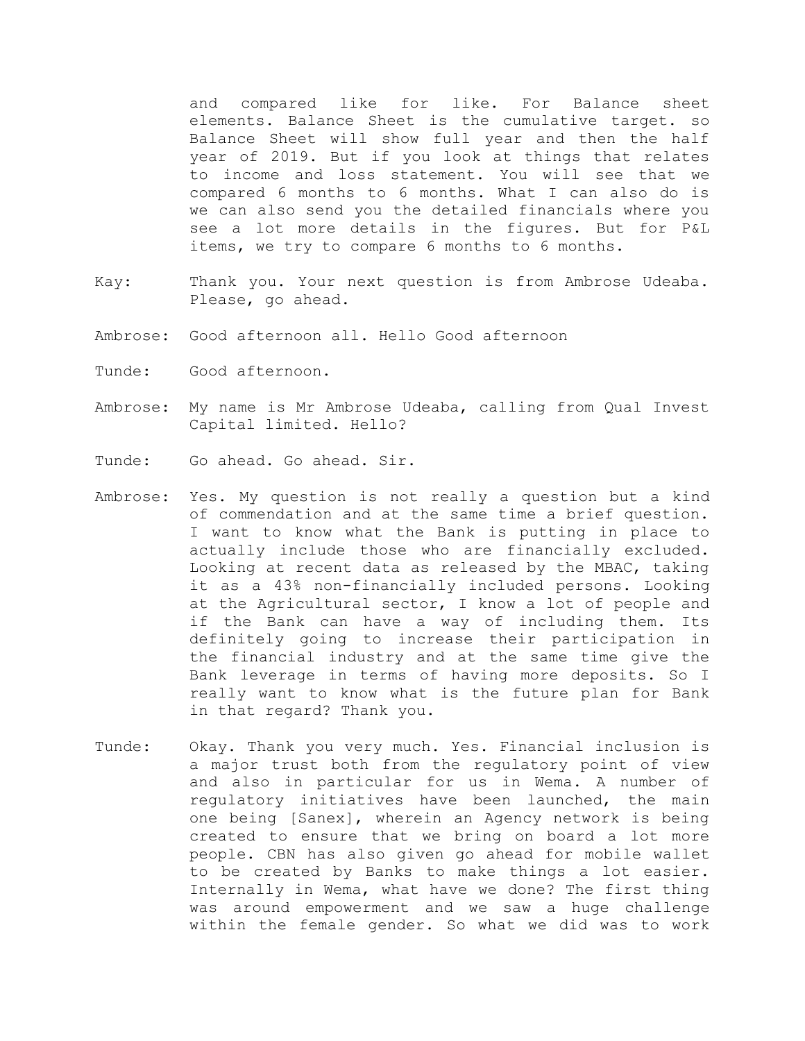and compared like for like. For Balance sheet elements. Balance Sheet is the cumulative target. so Balance Sheet will show full year and then the half year of 2019. But if you look at things that relates to income and loss statement. You will see that we compared 6 months to 6 months. What I can also do is we can also send you the detailed financials where you see a lot more details in the figures. But for P&L items, we try to compare 6 months to 6 months.

- Kay: Thank you. Your next question is from Ambrose Udeaba. Please, go ahead.
- Ambrose: Good afternoon all. Hello Good afternoon
- Tunde: Good afternoon.
- Ambrose: My name is Mr Ambrose Udeaba, calling from Qual Invest Capital limited. Hello?
- Tunde: Go ahead. Go ahead. Sir.
- Ambrose: Yes. My question is not really a question but a kind of commendation and at the same time a brief question. I want to know what the Bank is putting in place to actually include those who are financially excluded. Looking at recent data as released by the MBAC, taking it as a 43% non-financially included persons. Looking at the Agricultural sector, I know a lot of people and if the Bank can have a way of including them. Its definitely going to increase their participation in the financial industry and at the same time give the Bank leverage in terms of having more deposits. So I really want to know what is the future plan for Bank in that regard? Thank you.
- Tunde: Okay. Thank you very much. Yes. Financial inclusion is a major trust both from the regulatory point of view and also in particular for us in Wema. A number of regulatory initiatives have been launched, the main one being [Sanex], wherein an Agency network is being created to ensure that we bring on board a lot more people. CBN has also given go ahead for mobile wallet to be created by Banks to make things a lot easier. Internally in Wema, what have we done? The first thing was around empowerment and we saw a huge challenge within the female gender. So what we did was to work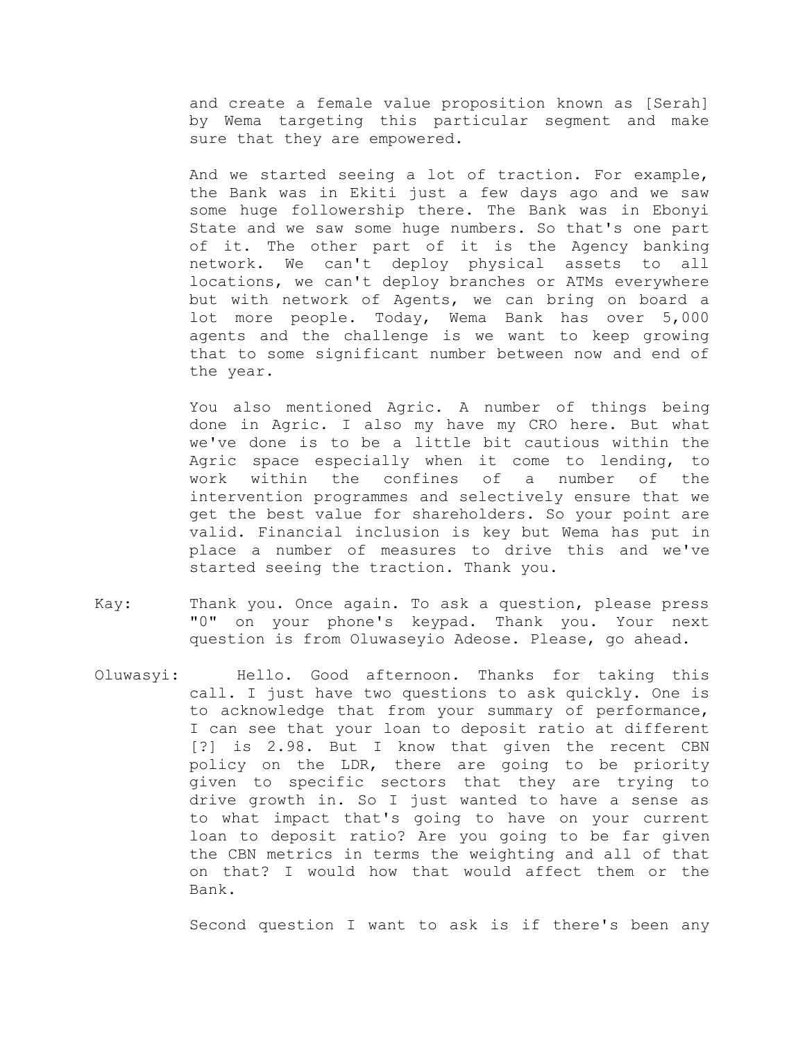and create a female value proposition known as [Serah] by Wema targeting this particular segment and make sure that they are empowered.

And we started seeing a lot of traction. For example, the Bank was in Ekiti just a few days ago and we saw some huge followership there. The Bank was in Ebonyi State and we saw some huge numbers. So that's one part of it. The other part of it is the Agency banking network. We can't deploy physical assets to all locations, we can't deploy branches or ATMs everywhere but with network of Agents, we can bring on board a lot more people. Today, Wema Bank has over 5,000 agents and the challenge is we want to keep growing that to some significant number between now and end of the year.

You also mentioned Agric. A number of things being done in Agric. I also my have my CRO here. But what we've done is to be a little bit cautious within the Agric space especially when it come to lending, to work within the confines of a number of the intervention programmes and selectively ensure that we get the best value for shareholders. So your point are valid. Financial inclusion is key but Wema has put in place a number of measures to drive this and we've started seeing the traction. Thank you.

- Kay: Thank you. Once again. To ask a question, please press "0" on your phone's keypad. Thank you. Your next question is from Oluwaseyio Adeose. Please, go ahead.
- Oluwasyi: Hello. Good afternoon. Thanks for taking this call. I just have two questions to ask quickly. One is to acknowledge that from your summary of performance, I can see that your loan to deposit ratio at different [?] is 2.98. But I know that given the recent CBN policy on the LDR, there are going to be priority given to specific sectors that they are trying to drive growth in. So I just wanted to have a sense as to what impact that's going to have on your current loan to deposit ratio? Are you going to be far given the CBN metrics in terms the weighting and all of that on that? I would how that would affect them or the Bank.

Second question I want to ask is if there's been any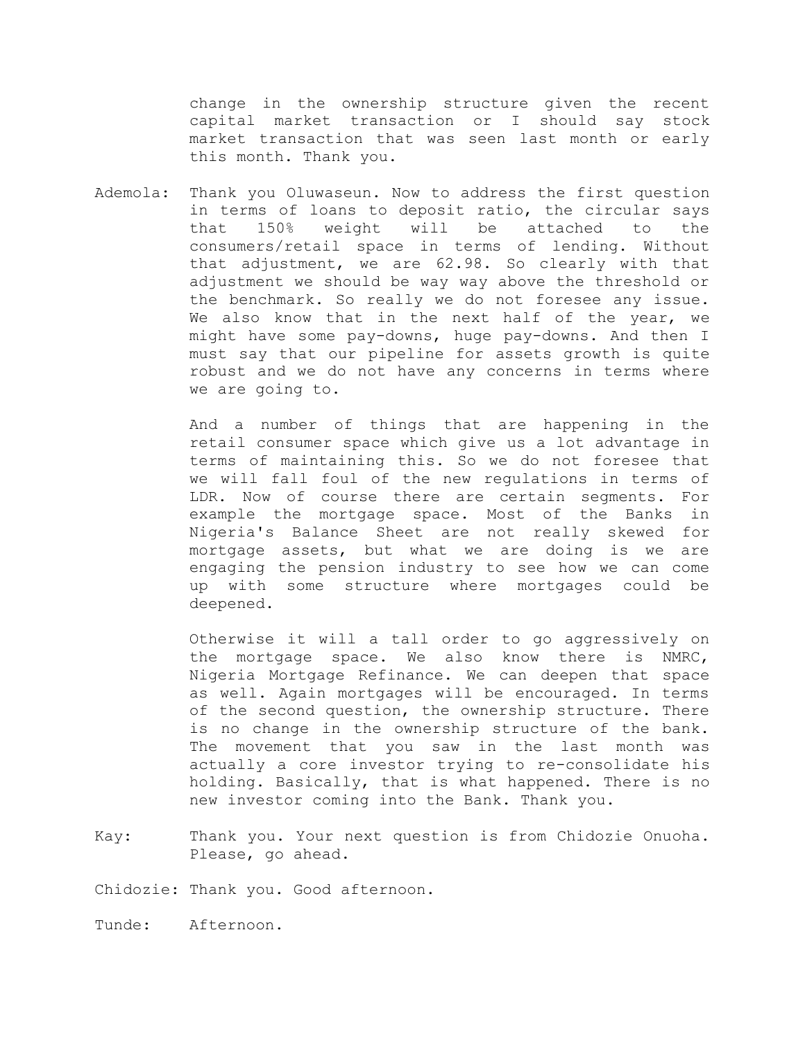change in the ownership structure given the recent capital market transaction or I should say stock market transaction that was seen last month or early this month. Thank you.

Ademola: Thank you Oluwaseun. Now to address the first question in terms of loans to deposit ratio, the circular says that 150% weight will be attached to the consumers/retail space in terms of lending. Without that adjustment, we are 62.98. So clearly with that adjustment we should be way way above the threshold or the benchmark. So really we do not foresee any issue. We also know that in the next half of the year, we might have some pay-downs, huge pay-downs. And then I must say that our pipeline for assets growth is quite robust and we do not have any concerns in terms where we are going to.

> And a number of things that are happening in the retail consumer space which give us a lot advantage in terms of maintaining this. So we do not foresee that we will fall foul of the new regulations in terms of LDR. Now of course there are certain segments. For example the mortgage space. Most of the Banks in Nigeria's Balance Sheet are not really skewed for mortgage assets, but what we are doing is we are engaging the pension industry to see how we can come up with some structure where mortgages could be deepened.

> Otherwise it will a tall order to go aggressively on the mortgage space. We also know there is NMRC, Nigeria Mortgage Refinance. We can deepen that space as well. Again mortgages will be encouraged. In terms of the second question, the ownership structure. There is no change in the ownership structure of the bank. The movement that you saw in the last month was actually a core investor trying to re-consolidate his holding. Basically, that is what happened. There is no new investor coming into the Bank. Thank you.

Kay: Thank you. Your next question is from Chidozie Onuoha. Please, go ahead.

Chidozie: Thank you. Good afternoon.

Tunde: Afternoon.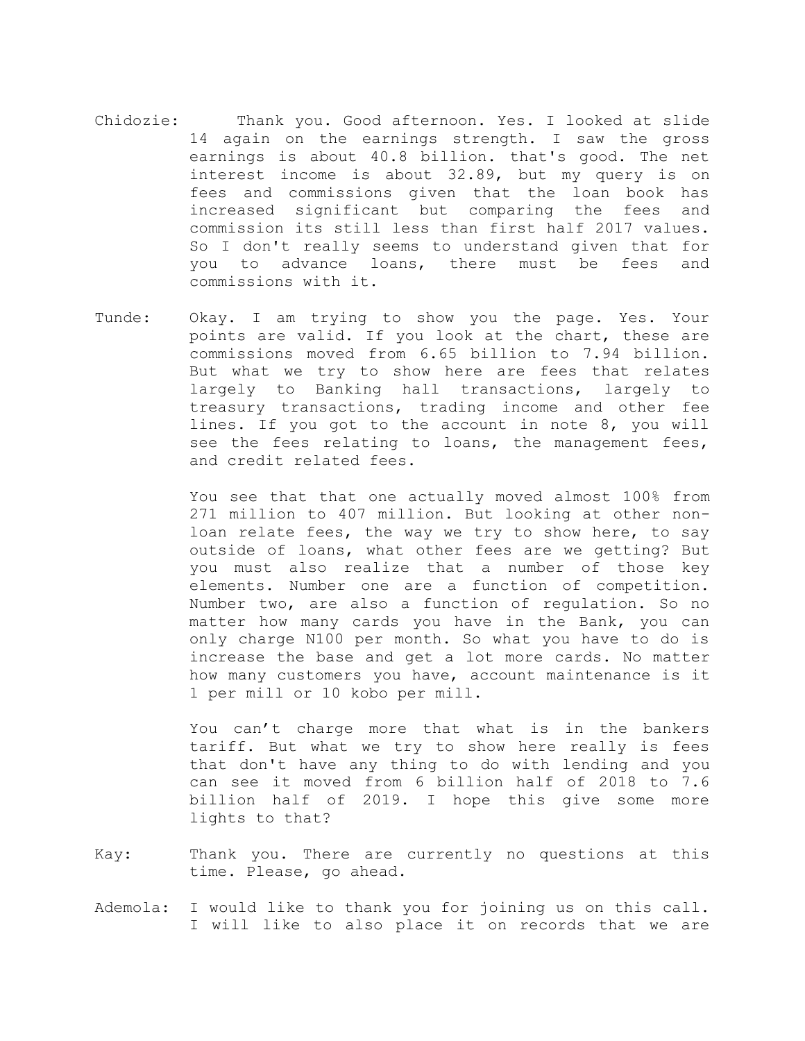- Chidozie: Thank you. Good afternoon. Yes. I looked at slide 14 again on the earnings strength. I saw the gross earnings is about 40.8 billion. that's good. The net interest income is about 32.89, but my query is on fees and commissions given that the loan book has increased significant but comparing the fees and commission its still less than first half 2017 values. So I don't really seems to understand given that for you to advance loans, there must be fees and commissions with it.
- Tunde: Okay. I am trying to show you the page. Yes. Your points are valid. If you look at the chart, these are commissions moved from 6.65 billion to 7.94 billion. But what we try to show here are fees that relates largely to Banking hall transactions, largely to treasury transactions, trading income and other fee lines. If you got to the account in note 8, you will see the fees relating to loans, the management fees, and credit related fees.

You see that that one actually moved almost 100% from 271 million to 407 million. But looking at other nonloan relate fees, the way we try to show here, to say outside of loans, what other fees are we getting? But you must also realize that a number of those key elements. Number one are a function of competition. Number two, are also a function of regulation. So no matter how many cards you have in the Bank, you can only charge N100 per month. So what you have to do is increase the base and get a lot more cards. No matter how many customers you have, account maintenance is it 1 per mill or 10 kobo per mill.

You can't charge more that what is in the bankers tariff. But what we try to show here really is fees that don't have any thing to do with lending and you can see it moved from 6 billion half of 2018 to 7.6 billion half of 2019. I hope this give some more lights to that?

- Kay: Thank you. There are currently no questions at this time. Please, go ahead.
- Ademola: I would like to thank you for joining us on this call. I will like to also place it on records that we are